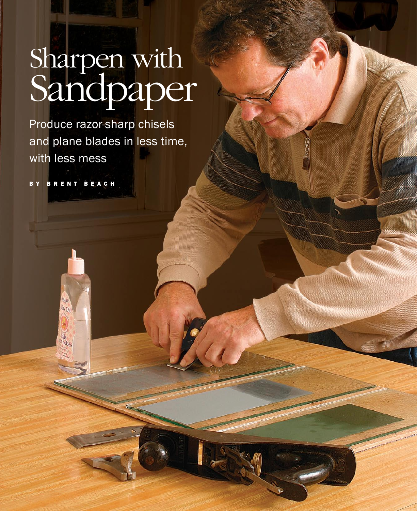# Sharpen with Sandpaper

Produce razor-sharp chisels and plane blades in less time, with less mess

B y B r e n t B e a c h

UA by On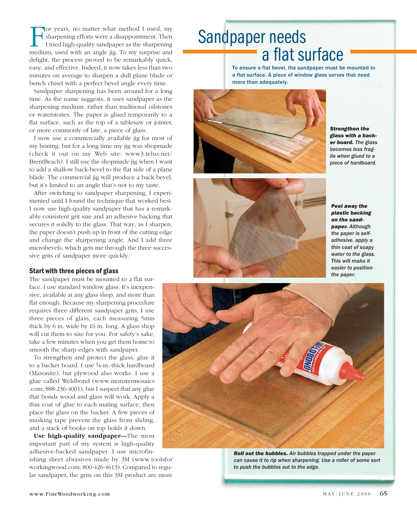For years, no matter what method I used, my sharpening efforts were a disappointment. Then I tried high-quality sandpaper as the sharpening medium, used with an angle jig. To my surprise and delight, the process proved to be remarkably quick, easy, and effective. Indeed, it now takes less than two minutes on average to sharpen a dull plane blade or bench chisel with a perfect bevel angle every time.

Sandpaper sharpening has been around for a long time. As the name suggests, it uses sandpaper as the sharpening medium, rather than traditional oilstones or waterstones. The paper is glued temporarily to a flat surface, such as the top of a tablesaw or jointer, or more commonly of late, a piece of glass.

I now use a commercially available jig for most of my honing, but for a long time my jig was shopmade (check it out on my Web site: www3.telus.net/ BrentBeach). I still use the shopmade jig when I want to add a shallow back-bevel to the flat side of a plane blade. The commercial jig will produce a back bevel, but it's limited to an angle that's not to my taste.

After switching to sandpaper sharpening, I experimented until I found the technique that worked best. I now use high-quality sandpaper that has a remarkably consistent grit size and an adhesive backing that secures it solidly to the glass. That way, as I sharpen, the paper doesn't push up in front of the cutting edge and change the sharpening angle. And I add three microbevels, which gets me through the three successive grits of sandpaper more quickly.

#### Start with three pieces of glass

The sandpaper must be mounted to a flat surface. I use standard window glass. It's inexpensive, available at any glass shop, and more than flat enough. Because my sharpening procedure requires three different sandpaper grits, I use three pieces of glass, each measuring 5mm thick by 6 in. wide by 16 in. long. A glass shop will cut them to size for you. For safety's sake, take a few minutes when you get them home to smooth the sharp edges with sandpaper.

To strengthen and protect the glass, glue it to a backer board. I use 1⁄4-in.-thick hardboard (Masonite), but plywood also works. I use a glue called Weldbond (www.monstermosaics .com; 888-236-4001), but I suspect that any glue that bonds wood and glass will work. Apply a thin coat of glue to each mating surface, then place the glass on the backer. A few pieces of masking tape prevent the glass from sliding, and a stack of books on top holds it down.

**Use high-quality sandpaper—**The most important part of my system is high-quality adhesive-backed sandpaper. I use microfin-

ishing sheet abrasives made by 3M (www.toolsfor workingwood.com; 800-426-4613). Compared to regular sandpaper, the grits on this 3M product are more

## Sandpaper needs a flat surface

To ensure a flat bevel, the sandpaper must be mounted to a flat surface. A piece of window glass serves that need more than adequately.



*Strengthen the glass with a backer board. The glass becomes less fragile when glued to a piece of hardboard.*



*Peel away the plastic backing on the sandpaper. Although the paper is selfadhesive, apply a thin coat of soapy water to the glass. This will make it easier to position the paper.*



*Roll out the bubbles. Air bubbles trapped under the paper can cause it to rip when sharpening. Use a roller of some sort to push the bubbles out to the edge.*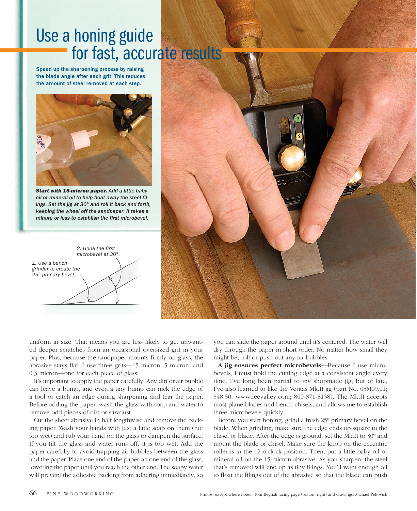## Use a honing guide for fast, accurate results

Speed up the sharpening process by raising the blade angle after each grit. This reduces the amount of steel removed at each step.



*Start with 15micron paper. Add a little baby oil or mineral oil to help float away the steel filings. Set the jig at 30° and roll it back and forth, keeping the wheel off the sandpaper. It takes a minute or less to establish the first microbevel.*

*1. Use a bench grinder to create the 25° primary bevel. 2. Hone the first microbevel at 30°.*



uniform in size. That means you are less likely to get unwanted deeper scratches from an occasional oversized grit in your paper. Plus, because the sandpaper mounts firmly on glass, the abrasive stays flat. I use three grits—15 micron, 5 micron, and 0.3 micron—one for each piece of glass.

It's important to apply the paper carefully. any dirt or air bubble can leave a bump, and even a tiny bump can nick the edge of a tool or catch an edge during sharpening and tear the paper. Before adding the paper, wash the glass with soap and water to remove odd pieces of dirt or sawdust.

Cut the sheet abrasive in half lengthwise and remove the backing paper. Wash your hands with just a little soap on them (not too wet) and rub your hand on the glass to dampen the surface. If you tilt the glass and water runs off, it is too wet. add the paper carefully to avoid trapping air bubbles between the glass and the paper. Place one end of the paper on one end of the glass, lowering the paper until you reach the other end. The soapy water will prevent the adhesive backing from adhering immediately, so

you can slide the paper around until it's centered. The water will dry through the paper in short order. No matter how small they might be, roll or push out any air bubbles.

**A jig ensures perfect microbevels—**Because I use microbevels, I must hold the cutting edge at a consistent angle every time. I've long been partial to my shopmade jig, but of late, I've also learned to like the Veritas Mk.II jig (part No. 05M09.01; \$48.50; www.leevalley.com; 800-871-8158). The mk.II accepts most plane blades and bench chisels, and allows me to establish three microbevels quickly.

Before you start honing, grind a fresh 25º primary bevel on the blade. When grinding, make sure the edge ends up square to the chisel or blade. after the edge is ground, set the mk.II to 30º and mount the blade or chisel. make sure the knob on the eccentric roller is in the 12 o'clock position. Then, put a little baby oil or mineral oil on the 15-micron abrasive. as you sharpen, the steel that's removed will end up as tiny filings. you'll want enough oil to float the filings out of the abrasive so that the blade can push